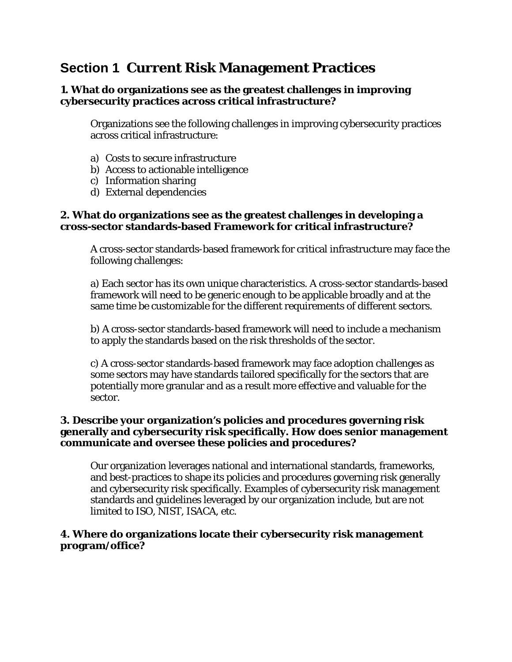# **Section 1 Current Risk Management Practices**

### **1. What do organizations see as the greatest challenges in improving cybersecurity practices across critical infrastructure?**

Organizations see the following challenges in improving cybersecurity practices across critical infrastructure:

- a) Costs to secure infrastructure
- b) Access to actionable intelligence
- c) Information sharing
- d) External dependencies

#### **2. What do organizations see as the greatest challenges in developing a cross-sector standards-based Framework for critical infrastructure?**

A cross-sector standards-based framework for critical infrastructure may face the following challenges:

a) Each sector has its own unique characteristics. A cross-sector standards-based framework will need to be generic enough to be applicable broadly and at the same time be customizable for the different requirements of different sectors.

b) A cross-sector standards-based framework will need to include a mechanism to apply the standards based on the risk thresholds of the sector.

c) A cross-sector standards-based framework may face adoption challenges as some sectors may have standards tailored specifically for the sectors that are potentially more granular and as a result more effective and valuable for the sector.

### **3. Describe your organization's policies and procedures governing risk generally and cybersecurity risk specifically. How does senior management communicate and oversee these policies and procedures?**

Our organization leverages national and international standards, frameworks, and best-practices to shape its policies and procedures governing risk generally and cybersecurity risk specifically. Examples of cybersecurity risk management standards and guidelines leveraged by our organization include, but are not limited to ISO, NIST, ISACA, etc.

#### **4. Where do organizations locate their cybersecurity risk management program/office?**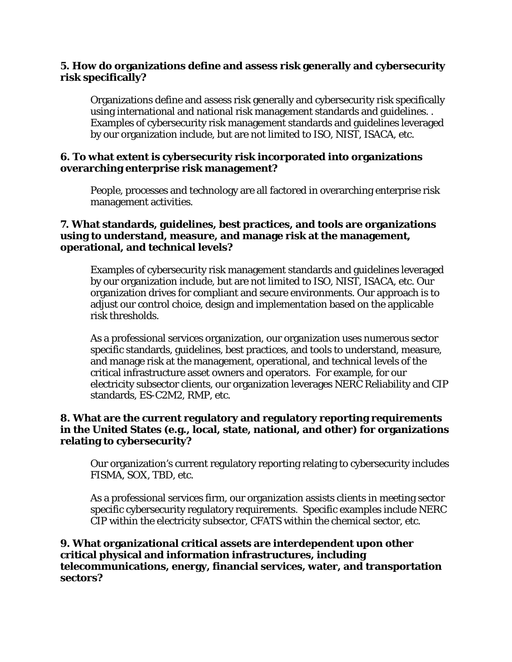#### **5. How do organizations define and assess risk generally and cybersecurity risk specifically?**

Organizations define and assess risk generally and cybersecurity risk specifically using international and national risk management standards and guidelines. . Examples of cybersecurity risk management standards and guidelines leveraged by our organization include, but are not limited to ISO, NIST, ISACA, etc.

#### **6. To what extent is cybersecurity risk incorporated into organizations overarching enterprise risk management?**

People, processes and technology are all factored in overarching enterprise risk management activities.

#### **7. What standards, guidelines, best practices, and tools are organizations using to understand, measure, and manage risk at the management, operational, and technical levels?**

Examples of cybersecurity risk management standards and guidelines leveraged by our organization include, but are not limited to ISO, NIST, ISACA, etc. Our organization drives for compliant and secure environments. Our approach is to adjust our control choice, design and implementation based on the applicable risk thresholds.

As a professional services organization, our organization uses numerous sector specific standards, guidelines, best practices, and tools to understand, measure, and manage risk at the management, operational, and technical levels of the critical infrastructure asset owners and operators. For example, for our electricity subsector clients, our organization leverages NERC Reliability and CIP standards, ES-C2M2, RMP, etc.

#### **8. What are the current regulatory and regulatory reporting requirements in the United States (e.g., local, state, national, and other) for organizations relating to cybersecurity?**

Our organization's current regulatory reporting relating to cybersecurity includes FISMA, SOX, TBD, etc.

As a professional services firm, our organization assists clients in meeting sector specific cybersecurity regulatory requirements. Specific examples include NERC CIP within the electricity subsector, CFATS within the chemical sector, etc.

#### **9. What organizational critical assets are interdependent upon other critical physical and information infrastructures, including telecommunications, energy, financial services, water, and transportation sectors?**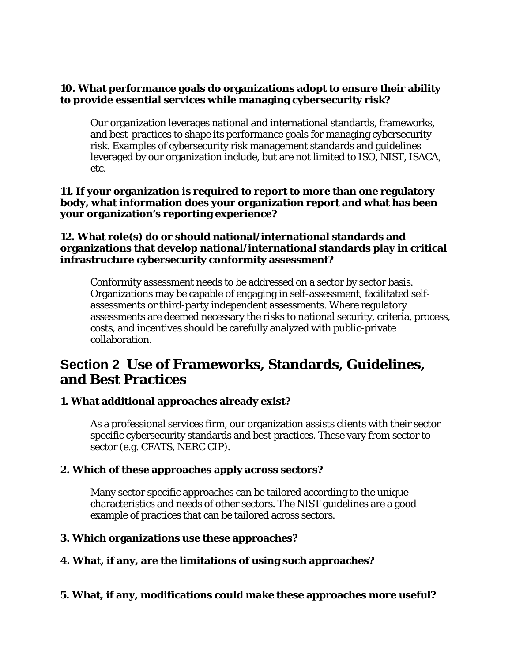#### **10. What performance goals do organizations adopt to ensure their ability to provide essential services while managing cybersecurity risk?**

Our organization leverages national and international standards, frameworks, and best-practices to shape its performance goals for managing cybersecurity risk. Examples of cybersecurity risk management standards and guidelines leveraged by our organization include, but are not limited to ISO, NIST, ISACA, etc.

**11. If your organization is required to report to more than one regulatory body, what information does your organization report and what has been your organization's reporting experience?**

#### **12. What role(s) do or should national/international standards and organizations that develop national/international standards play in critical infrastructure cybersecurity conformity assessment?**

Conformity assessment needs to be addressed on a sector by sector basis. Organizations may be capable of engaging in self-assessment, facilitated selfassessments or third-party independent assessments. Where regulatory assessments are deemed necessary the risks to national security, criteria, process, costs, and incentives should be carefully analyzed with public-private collaboration.

## **Section 2 Use of Frameworks, Standards, Guidelines, and Best Practices**

## **1. What additional approaches already exist?**

As a professional services firm, our organization assists clients with their sector specific cybersecurity standards and best practices. These vary from sector to sector (e.g. CFATS, NERC CIP).

#### **2. Which of these approaches apply across sectors?**

Many sector specific approaches can be tailored according to the unique characteristics and needs of other sectors. The NIST guidelines are a good example of practices that can be tailored across sectors.

## **3. Which organizations use these approaches?**

## **4. What, if any, are the limitations of using such approaches?**

## **5. What, if any, modifications could make these approaches more useful?**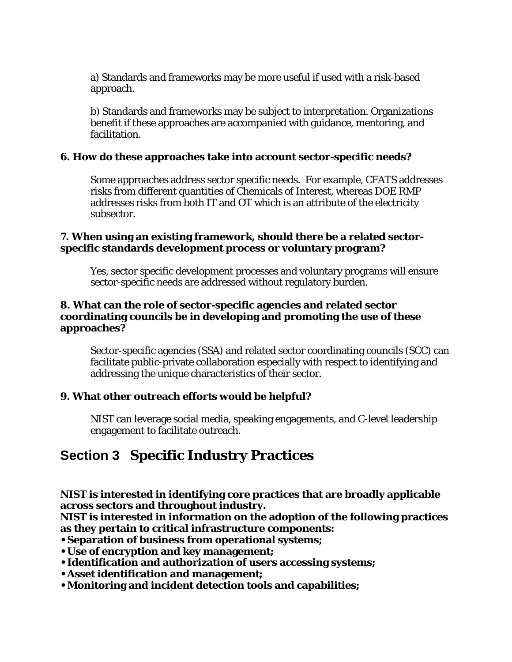a) Standards and frameworks may be more useful if used with a risk-based approach.

b) Standards and frameworks may be subject to interpretation. Organizations benefit if these approaches are accompanied with guidance, mentoring, and facilitation.

### **6. How do these approaches take into account sector-specific needs?**

Some approaches address sector specific needs. For example, CFATS addresses risks from different quantities of Chemicals of Interest, whereas DOE RMP addresses risks from both IT and OT which is an attribute of the electricity subsector.

#### **7. When using an existing framework, should there be a related sectorspecific standards development process or voluntary program?**

Yes, sector specific development processes and voluntary programs will ensure sector-specific needs are addressed without regulatory burden.

#### **8. What can the role of sector-specific agencies and related sector coordinating councils be in developing and promoting the use of these approaches?**

Sector-specific agencies (SSA) and related sector coordinating councils (SCC) can facilitate public-private collaboration especially with respect to identifying and addressing the unique characteristics of their sector.

## **9. What other outreach efforts would be helpful?**

NIST can leverage social media, speaking engagements, and C-level leadership engagement to facilitate outreach.

## **Section 3 Specific Industry Practices**

**NIST is interested in identifying core practices that are broadly applicable across sectors and throughout industry.**

**NIST is interested in information on the adoption of the following practices as they pertain to critical infrastructure components:**

- **Separation of business from operational systems;**
- **Use of encryption and key management;**
- **Identification and authorization of users accessing systems;**
- **Asset identification and management;**
- **Monitoring and incident detection tools and capabilities;**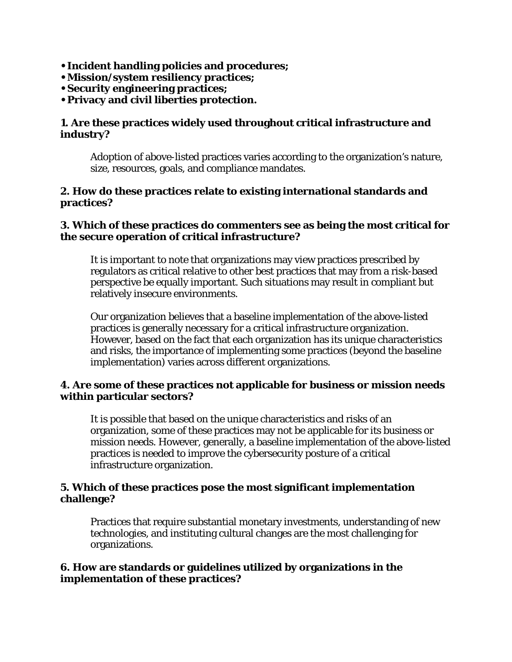- **Incident handling policies and procedures;**
- **Mission/system resiliency practices;**
- **Security engineering practices;**
- **Privacy and civil liberties protection.**

#### **1. Are these practices widely used throughout critical infrastructure and industry?**

Adoption of above-listed practices varies according to the organization's nature, size, resources, goals, and compliance mandates.

#### **2. How do these practices relate to existing international standards and practices?**

#### **3. Which of these practices do commenters see as being the most critical for the secure operation of critical infrastructure?**

It is important to note that organizations may view practices prescribed by regulators as critical relative to other best practices that may from a risk-based perspective be equally important. Such situations may result in compliant but relatively insecure environments.

Our organization believes that a baseline implementation of the above-listed practices is generally necessary for a critical infrastructure organization. However, based on the fact that each organization has its unique characteristics and risks, the importance of implementing some practices (beyond the baseline implementation) varies across different organizations.

#### **4. Are some of these practices not applicable for business or mission needs within particular sectors?**

It is possible that based on the unique characteristics and risks of an organization, some of these practices may not be applicable for its business or mission needs. However, generally, a baseline implementation of the above-listed practices is needed to improve the cybersecurity posture of a critical infrastructure organization.

#### **5. Which of these practices pose the most significant implementation challenge?**

Practices that require substantial monetary investments, understanding of new technologies, and instituting cultural changes are the most challenging for organizations.

#### **6. How are standards or guidelines utilized by organizations in the implementation of these practices?**